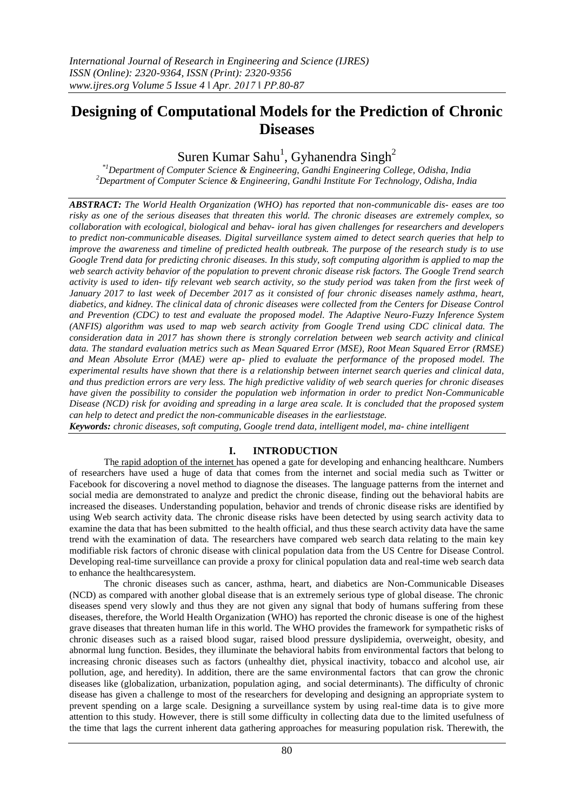# **Designing of Computational Models for the Prediction of Chronic Diseases**

# Suren Kumar Sahu<sup>1</sup>, Gyhanendra Singh<sup>2</sup>

*\*1Department of Computer Science & Engineering, Gandhi Engineering College, Odisha, India <sup>2</sup>Department of Computer Science & Engineering, Gandhi Institute For Technology, Odisha, India*

*ABSTRACT: The World Health Organization (WHO) has reported that non-communicable dis- eases are too risky as one of the serious diseases that threaten this world. The chronic diseases are extremely complex, so collaboration with ecological, biological and behav- ioral has given challenges for researchers and developers to predict non-communicable diseases. Digital surveillance system aimed to detect search queries that help to improve the awareness and timeline of predicted health outbreak. The purpose of the research study is to use Google Trend data for predicting chronic diseases. In this study, soft computing algorithm is applied to map the web search activity behavior of the population to prevent chronic disease risk factors. The Google Trend search activity is used to iden- tify relevant web search activity, so the study period was taken from the first week of January 2017 to last week of December 2017 as it consisted of four chronic diseases namely asthma, heart, diabetics, and kidney. The clinical data of chronic diseases were collected from the Centers for Disease Control and Prevention (CDC) to test and evaluate the proposed model. The Adaptive Neuro-Fuzzy Inference System (ANFIS) algorithm was used to map web search activity from Google Trend using CDC clinical data. The consideration data in 2017 has shown there is strongly correlation between web search activity and clinical data. The standard evaluation metrics such as Mean Squared Error (MSE), Root Mean Squared Error (RMSE) and Mean Absolute Error (MAE) were ap- plied to evaluate the performance of the proposed model. The experimental results have shown that there is a relationship between internet search queries and clinical data, and thus prediction errors are very less. The high predictive validity of web search queries for chronic diseases have given the possibility to consider the population web information in order to predict Non-Communicable Disease (NCD) risk for avoiding and spreading in a large area scale. It is concluded that the proposed system can help to detect and predict the non-communicable diseases in the earlieststage.*

*Keywords: chronic diseases, soft computing, Google trend data, intelligent model, ma- chine intelligent*

## **I. INTRODUCTION**

The rapid adoption of the internet has opened a gate for developing and enhancing healthcare. Numbers of researchers have used a huge of data that comes from the internet and social media such as Twitter or Facebook for discovering a novel method to diagnose the diseases. The language patterns from the internet and social media are demonstrated to analyze and predict the chronic disease, finding out the behavioral habits are increased the diseases. Understanding population, behavior and trends of chronic disease risks are identified by using Web search activity data. The chronic disease risks have been detected by using search activity data to examine the data that has been submitted to the health official, and thus these search activity data have the same trend with the examination of data. The researchers have compared web search data relating to the main key modifiable risk factors of chronic disease with clinical population data from the US Centre for Disease Control. Developing real-time surveillance can provide a proxy for clinical population data and real-time web search data to enhance the healthcaresystem.

The chronic diseases such as cancer, asthma, heart, and diabetics are Non-Communicable Diseases (NCD) as compared with another global disease that is an extremely serious type of global disease. The chronic diseases spend very slowly and thus they are not given any signal that body of humans suffering from these diseases, therefore, the World Health Organization (WHO) has reported the chronic disease is one of the highest grave diseases that threaten human life in this world. The WHO provides the framework for sympathetic risks of chronic diseases such as a raised blood sugar, raised blood pressure dyslipidemia, overweight, obesity, and abnormal lung function. Besides, they illuminate the behavioral habits from environmental factors that belong to increasing chronic diseases such as factors (unhealthy diet, physical inactivity, tobacco and alcohol use, air pollution, age, and heredity). In addition, there are the same environmental factors that can grow the chronic diseases like (globalization, urbanization, population aging, and social determinants). The difficulty of chronic disease has given a challenge to most of the researchers for developing and designing an appropriate system to prevent spending on a large scale. Designing a surveillance system by using real-time data is to give more attention to this study. However, there is still some difficulty in collecting data due to the limited usefulness of the time that lags the current inherent data gathering approaches for measuring population risk. Therewith, the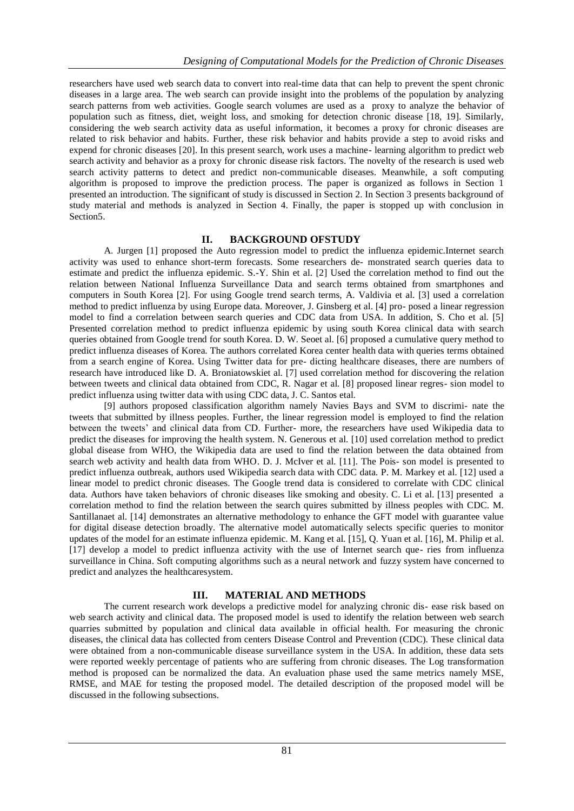researchers have used web search data to convert into real-time data that can help to prevent the spent chronic diseases in a large area. The web search can provide insight into the problems of the population by analyzing search patterns from web activities. Google search volumes are used as a proxy to analyze the behavior of population such as fitness, diet, weight loss, and smoking for detection chronic disease [18, 19]. Similarly, considering the web search activity data as useful information, it becomes a proxy for chronic diseases are related to risk behavior and habits. Further, these risk behavior and habits provide a step to avoid risks and expend for chronic diseases [20]. In this present search, work uses a machine- learning algorithm to predict web search activity and behavior as a proxy for chronic disease risk factors. The novelty of the research is used web search activity patterns to detect and predict non-communicable diseases. Meanwhile, a soft computing algorithm is proposed to improve the prediction process. The paper is organized as follows in Section 1 presented an introduction. The significant of study is discussed in Section 2. In Section 3 presents background of study material and methods is analyzed in Section 4. Finally, the paper is stopped up with conclusion in Section5.

## **II. BACKGROUND OFSTUDY**

A. Jurgen [1] proposed the Auto regression model to predict the influenza epidemic.Internet search activity was used to enhance short-term forecasts. Some researchers de- monstrated search queries data to estimate and predict the influenza epidemic. S.-Y. Shin et al. [2] Used the correlation method to find out the relation between National Influenza Surveillance Data and search terms obtained from smartphones and computers in South Korea [2]. For using Google trend search terms, A. Valdivia et al. [3] used a correlation method to predict influenza by using Europe data. Moreover, J. Ginsberg et al. [4] pro- posed a linear regression model to find a correlation between search queries and CDC data from USA. In addition, S. Cho et al. [5] Presented correlation method to predict influenza epidemic by using south Korea clinical data with search queries obtained from Google trend for south Korea. D. W. Seoet al. [6] proposed a cumulative query method to predict influenza diseases of Korea. The authors correlated Korea center health data with queries terms obtained from a search engine of Korea. Using Twitter data for pre- dicting healthcare diseases, there are numbers of research have introduced like D. A. Broniatowskiet al. [7] used correlation method for discovering the relation between tweets and clinical data obtained from CDC, R. Nagar et al. [8] proposed linear regres- sion model to predict influenza using twitter data with using CDC data, J. C. Santos etal.

[9] authors proposed classification algorithm namely Navies Bays and SVM to discrimi- nate the tweets that submitted by illness peoples. Further, the linear regression model is employed to find the relation between the tweets' and clinical data from CD. Further- more, the researchers have used Wikipedia data to predict the diseases for improving the health system. N. Generous et al. [10] used correlation method to predict global disease from WHO, the Wikipedia data are used to find the relation between the data obtained from search web activity and health data from WHO. D. J. McIver et al. [11]. The Pois- son model is presented to predict influenza outbreak, authors used Wikipedia search data with CDC data. P. M. Markey et al. [12] used a linear model to predict chronic diseases. The Google trend data is considered to correlate with CDC clinical data. Authors have taken behaviors of chronic diseases like smoking and obesity. C. Li et al. [13] presented a correlation method to find the relation between the search quires submitted by illness peoples with CDC. M. Santillanaet al. [14] demonstrates an alternative methodology to enhance the GFT model with guarantee value for digital disease detection broadly. The alternative model automatically selects specific queries to monitor updates of the model for an estimate influenza epidemic. M. Kang et al. [15], Q. Yuan et al. [16], M. Philip et al. [17] develop a model to predict influenza activity with the use of Internet search que- ries from influenza surveillance in China. Soft computing algorithms such as a neural network and fuzzy system have concerned to predict and analyzes the healthcaresystem.

### **III. MATERIAL AND METHODS**

The current research work develops a predictive model for analyzing chronic dis- ease risk based on web search activity and clinical data. The proposed model is used to identify the relation between web search quarries submitted by population and clinical data available in official health. For measuring the chronic diseases, the clinical data has collected from centers Disease Control and Prevention (CDC). These clinical data were obtained from a non-communicable disease surveillance system in the USA. In addition, these data sets were reported weekly percentage of patients who are suffering from chronic diseases. The Log transformation method is proposed can be normalized the data. An evaluation phase used the same metrics namely MSE, RMSE, and MAE for testing the proposed model. The detailed description of the proposed model will be discussed in the following subsections.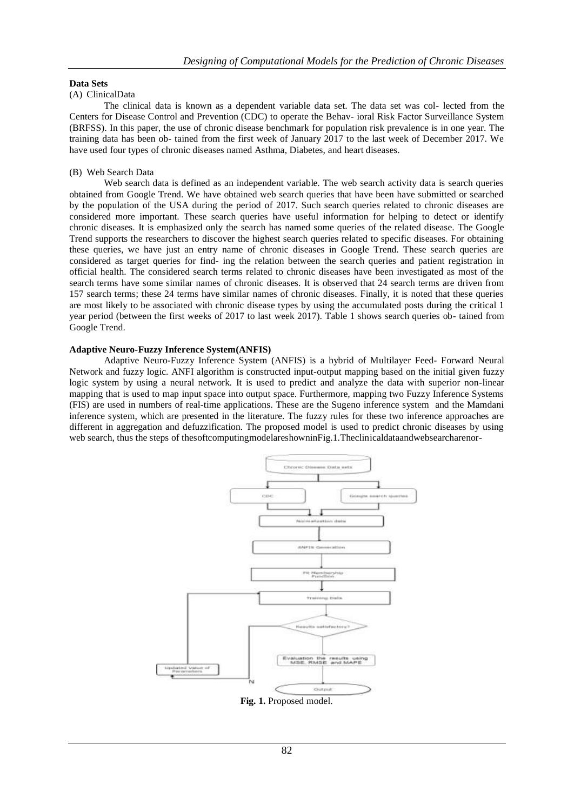#### **Data Sets**

#### (A) ClinicalData

The clinical data is known as a dependent variable data set. The data set was col- lected from the Centers for Disease Control and Prevention (CDC) to operate the Behav- ioral Risk Factor Surveillance System (BRFSS). In this paper, the use of chronic disease benchmark for population risk prevalence is in one year. The training data has been ob- tained from the first week of January 2017 to the last week of December 2017. We have used four types of chronic diseases named Asthma, Diabetes, and heart diseases.

#### (B) Web Search Data

Web search data is defined as an independent variable. The web search activity data is search queries obtained from Google Trend. We have obtained web search queries that have been have submitted or searched by the population of the USA during the period of 2017. Such search queries related to chronic diseases are considered more important. These search queries have useful information for helping to detect or identify chronic diseases. It is emphasized only the search has named some queries of the related disease. The Google Trend supports the researchers to discover the highest search queries related to specific diseases. For obtaining these queries, we have just an entry name of chronic diseases in Google Trend. These search queries are considered as target queries for find- ing the relation between the search queries and patient registration in official health. The considered search terms related to chronic diseases have been investigated as most of the search terms have some similar names of chronic diseases. It is observed that 24 search terms are driven from 157 search terms; these 24 terms have similar names of chronic diseases. Finally, it is noted that these queries are most likely to be associated with chronic disease types by using the accumulated posts during the critical 1 year period (between the first weeks of 2017 to last week 2017). Table 1 shows search queries ob- tained from Google Trend.

#### **Adaptive Neuro-Fuzzy Inference System(ANFIS)**

Adaptive Neuro-Fuzzy Inference System (ANFIS) is a hybrid of Multilayer Feed- Forward Neural Network and fuzzy logic. ANFI algorithm is constructed input-output mapping based on the initial given fuzzy logic system by using a neural network. It is used to predict and analyze the data with superior non-linear mapping that is used to map input space into output space. Furthermore, mapping two Fuzzy Inference Systems (FIS) are used in numbers of real-time applications. These are the Sugeno inference system and the Mamdani inference system, which are presented in the literature. The fuzzy rules for these two inference approaches are different in aggregation and defuzzification. The proposed model is used to predict chronic diseases by using web search, thus the steps of thesoftcomputingmodelareshowninFig.1.Theclinicaldataandwebsearcharenor-



**Fig. 1.** Proposed model.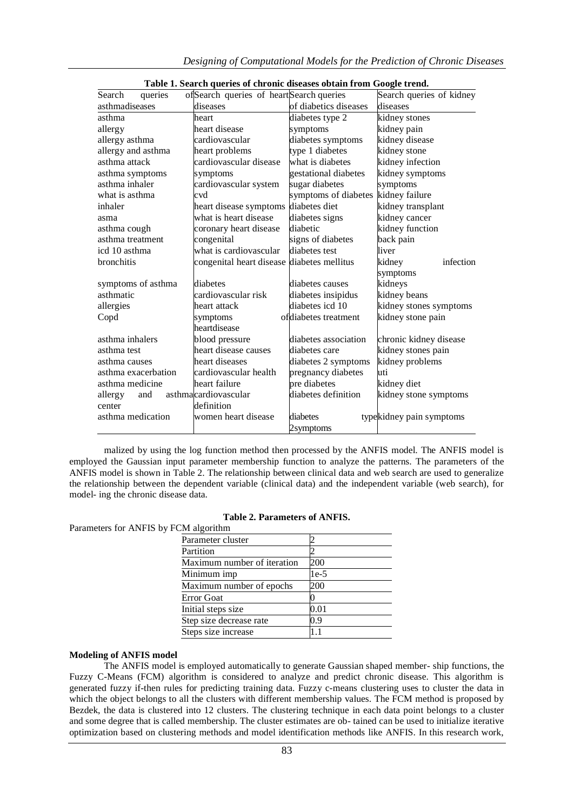| queries<br>Search                    | ofSearch queries of heartSearch queries    |                       | Search queries of kidney |  |
|--------------------------------------|--------------------------------------------|-----------------------|--------------------------|--|
| asthmadiseases                       | diseases                                   | of diabetics diseases | diseases                 |  |
| asthma                               | heart                                      | diabetes type 2       | kidney stones            |  |
| allergy                              | heart disease                              | symptoms              | kidney pain              |  |
| cardiovascular<br>allergy asthma     |                                            | diabetes symptoms     | kidney disease           |  |
| allergy and asthma<br>heart problems |                                            | type 1 diabetes       | kidney stone             |  |
| asthma attack                        | cardiovascular disease                     | what is diabetes      | kidney infection         |  |
| asthma symptoms                      | symptoms                                   | gestational diabetes  | kidney symptoms          |  |
| asthma inhaler                       | cardiovascular system                      | sugar diabetes        | symptoms                 |  |
| what is asthma                       | cvd                                        | symptoms of diabetes  | kidney failure           |  |
| inhaler                              | heart disease symptoms diabetes diet       |                       | kidney transplant        |  |
| asma                                 | what is heart disease                      | diabetes signs        | kidney cancer            |  |
| asthma cough                         | coronary heart disease                     | diabetic              | kidney function          |  |
| asthma treatment                     | congenital                                 | signs of diabetes     | back pain                |  |
| icd 10 asthma                        | what is cardiovascular                     | diabetes test         | liver                    |  |
| bronchitis                           | congenital heart disease diabetes mellitus |                       | kidney<br>infection      |  |
|                                      |                                            |                       | symptoms                 |  |
| symptoms of asthma                   | diabetes                                   | diabetes causes       | kidneys                  |  |
| asthmatic                            | cardiovascular risk                        | diabetes insipidus    | kidney beans             |  |
| allergies                            | heart attack                               | diabetes icd 10       | kidney stones symptoms   |  |
| Copd                                 | symptoms                                   | ofdiabetes treatment  | kidney stone pain        |  |
|                                      | heartdisease                               |                       |                          |  |
| asthma inhalers                      | blood pressure                             | diabetes association  | chronic kidney disease   |  |
| asthma test                          | heart disease causes                       | diabetes care         | kidney stones pain       |  |
| asthma causes                        | heart diseases                             | diabetes 2 symptoms   | kidney problems          |  |
| asthma exacerbation                  | cardiovascular health                      | pregnancy diabetes    | uti                      |  |
| asthma medicine                      | heart failure                              | pre diabetes          | kidney diet              |  |
| allergy and                          | asthmacardiovascular                       | diabetes definition   | kidney stone symptoms    |  |
| center                               | definition                                 |                       |                          |  |
| asthma medication                    | women heart disease                        | diabetes              | typekidney pain symptoms |  |
|                                      |                                            | 2symptoms             |                          |  |

malized by using the log function method then processed by the ANFIS model. The ANFIS model is employed the Gaussian input parameter membership function to analyze the patterns. The parameters of the ANFIS model is shown in Table 2. The relationship between clinical data and web search are used to generalize the relationship between the dependent variable (clinical data) and the independent variable (web search), for model- ing the chronic disease data.

| <b>Table 2. Parameters of ANFIS.</b> |  |
|--------------------------------------|--|
|--------------------------------------|--|

Parameters for ANFIS by FCM algorithm

| $\cdots$ $\cdots$           |      |
|-----------------------------|------|
| Parameter cluster           |      |
| Partition                   |      |
| Maximum number of iteration | 200  |
| Minimum imp                 | 1e-5 |
| Maximum number of epochs    | 200  |
| <b>Error</b> Goat           |      |
| Initial steps size          | 0.01 |
| Step size decrease rate     | 0.9  |
| Steps size increase         |      |
|                             |      |

#### **Modeling of ANFIS model**

The ANFIS model is employed automatically to generate Gaussian shaped member- ship functions, the Fuzzy C-Means (FCM) algorithm is considered to analyze and predict chronic disease. This algorithm is generated fuzzy if-then rules for predicting training data. Fuzzy c-means clustering uses to cluster the data in which the object belongs to all the clusters with different membership values. The FCM method is proposed by Bezdek, the data is clustered into 12 clusters. The clustering technique in each data point belongs to a cluster and some degree that is called membership. The cluster estimates are ob- tained can be used to initialize iterative optimization based on clustering methods and model identification methods like ANFIS. In this research work,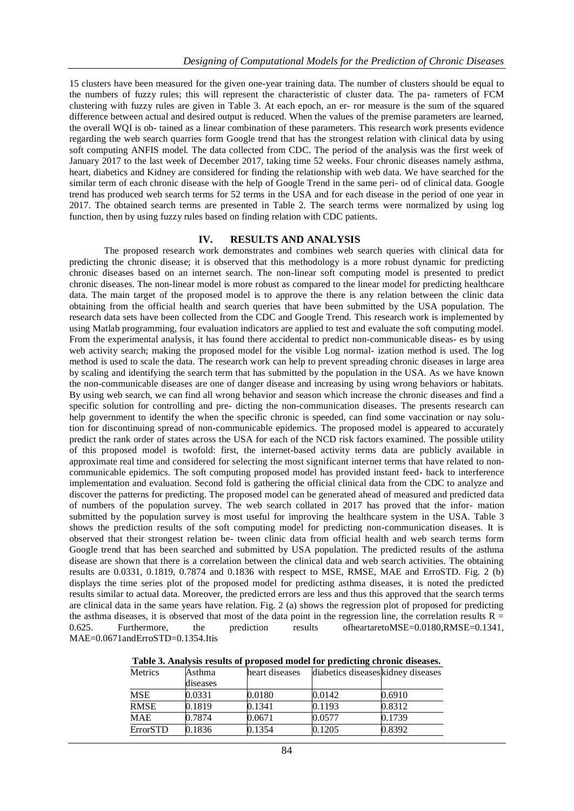15 clusters have been measured for the given one-year training data. The number of clusters should be equal to the numbers of fuzzy rules; this will represent the characteristic of cluster data. The pa- rameters of FCM clustering with fuzzy rules are given in Table 3. At each epoch, an er- ror measure is the sum of the squared difference between actual and desired output is reduced. When the values of the premise parameters are learned, the overall WQI is ob- tained as a linear combination of these parameters. This research work presents evidence regarding the web search quarries form Google trend that has the strongest relation with clinical data by using soft computing ANFIS model. The data collected from CDC. The period of the analysis was the first week of January 2017 to the last week of December 2017, taking time 52 weeks. Four chronic diseases namely asthma, heart, diabetics and Kidney are considered for finding the relationship with web data. We have searched for the similar term of each chronic disease with the help of Google Trend in the same peri- od of clinical data. Google trend has produced web search terms for 52 terms in the USA and for each disease in the period of one year in 2017. The obtained search terms are presented in Table 2. The search terms were normalized by using log function, then by using fuzzy rules based on finding relation with CDC patients.

#### **IV. RESULTS AND ANALYSIS**

The proposed research work demonstrates and combines web search queries with clinical data for predicting the chronic disease; it is observed that this methodology is a more robust dynamic for predicting chronic diseases based on an internet search. The non-linear soft computing model is presented to predict chronic diseases. The non-linear model is more robust as compared to the linear model for predicting healthcare data. The main target of the proposed model is to approve the there is any relation between the clinic data obtaining from the official health and search queries that have been submitted by the USA population. The research data sets have been collected from the CDC and Google Trend. This research work is implemented by using Matlab programming, four evaluation indicators are applied to test and evaluate the soft computing model. From the experimental analysis, it has found there accidental to predict non-communicable diseas- es by using web activity search; making the proposed model for the visible Log normal- ization method is used. The log method is used to scale the data. The research work can help to prevent spreading chronic diseases in large area by scaling and identifying the search term that has submitted by the population in the USA. As we have known the non-communicable diseases are one of danger disease and increasing by using wrong behaviors or habitats. By using web search, we can find all wrong behavior and season which increase the chronic diseases and find a specific solution for controlling and pre- dicting the non-communication diseases. The presents research can help government to identify the when the specific chronic is speeded, can find some vaccination or nay solution for discontinuing spread of non-communicable epidemics. The proposed model is appeared to accurately predict the rank order of states across the USA for each of the NCD risk factors examined. The possible utility of this proposed model is twofold: first, the internet-based activity terms data are publicly available in approximate real time and considered for selecting the most significant internet terms that have related to noncommunicable epidemics. The soft computing proposed model has provided instant feed- back to interference implementation and evaluation. Second fold is gathering the official clinical data from the CDC to analyze and discover the patterns for predicting. The proposed model can be generated ahead of measured and predicted data of numbers of the population survey. The web search collated in 2017 has proved that the infor- mation submitted by the population survey is most useful for improving the healthcare system in the USA. Table 3 shows the prediction results of the soft computing model for predicting non-communication diseases. It is observed that their strongest relation be- tween clinic data from official health and web search terms form Google trend that has been searched and submitted by USA population. The predicted results of the asthma disease are shown that there is a correlation between the clinical data and web search activities. The obtaining results are 0.0331, 0.1819, 0.7874 and 0.1836 with respect to MSE, RMSE, MAE and ErroSTD. Fig. 2 (b) displays the time series plot of the proposed model for predicting asthma diseases, it is noted the predicted results similar to actual data. Moreover, the predicted errors are less and thus this approved that the search terms are clinical data in the same years have relation. Fig. 2 (a) shows the regression plot of proposed for predicting the asthma diseases, it is observed that most of the data point in the regression line, the correlation results  $R =$ 0.625. Furthermore, the prediction results ofheartaretoMSE=0.0180,RMSE=0.1341, MAE=0.0671andErroSTD=0.1354.Itis

**Table 3. Analysis results of proposed model for predicting chronic diseases.**

| <b>Metrics</b>  | Asthma   | heart diseases |        | diabetics diseases kidney diseases |
|-----------------|----------|----------------|--------|------------------------------------|
|                 | diseases |                |        |                                    |
| <b>MSE</b>      | 0.0331   | 0.0180         | 0.0142 | 0.6910                             |
| <b>RMSE</b>     | 0.1819   | 0.1341         | 0.1193 | 0.8312                             |
| <b>MAE</b>      | 0.7874   | 0.0671         | 0.0577 | 0.1739                             |
| <b>ErrorSTD</b> | 0.1836   | 0.1354         | 0.1205 | 0.8392                             |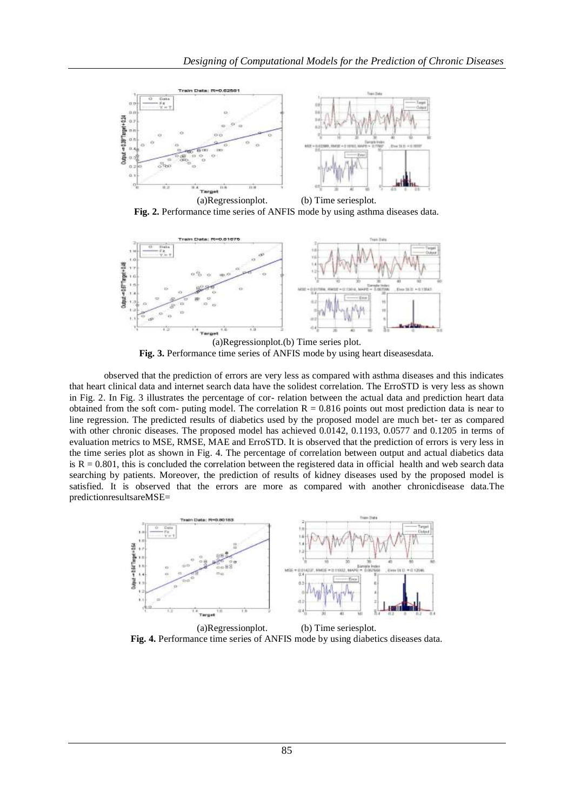

**Fig. 2.** Performance time series of ANFIS mode by using asthma diseases data.



(a)Regressionplot.(b) Time series plot. **Fig. 3.** Performance time series of ANFIS mode by using heart diseasesdata.

observed that the prediction of errors are very less as compared with asthma diseases and this indicates that heart clinical data and internet search data have the solidest correlation. The ErroSTD is very less as shown in Fig. 2. In Fig. 3 illustrates the percentage of cor- relation between the actual data and prediction heart data obtained from the soft com- puting model. The correlation  $R = 0.816$  points out most prediction data is near to line regression. The predicted results of diabetics used by the proposed model are much bet- ter as compared with other chronic diseases. The proposed model has achieved 0.0142, 0.1193, 0.0577 and 0.1205 in terms of evaluation metrics to MSE, RMSE, MAE and ErroSTD. It is observed that the prediction of errors is very less in the time series plot as shown in Fig. 4. The percentage of correlation between output and actual diabetics data is  $R = 0.801$ , this is concluded the correlation between the registered data in official health and web search data searching by patients. Moreover, the prediction of results of kidney diseases used by the proposed model is satisfied. It is observed that the errors are more as compared with another chronicdisease data.The predictionresultsareMSE=



(a)Regressionplot. (b) Time seriesplot. **Fig. 4.** Performance time series of ANFIS mode by using diabetics diseases data.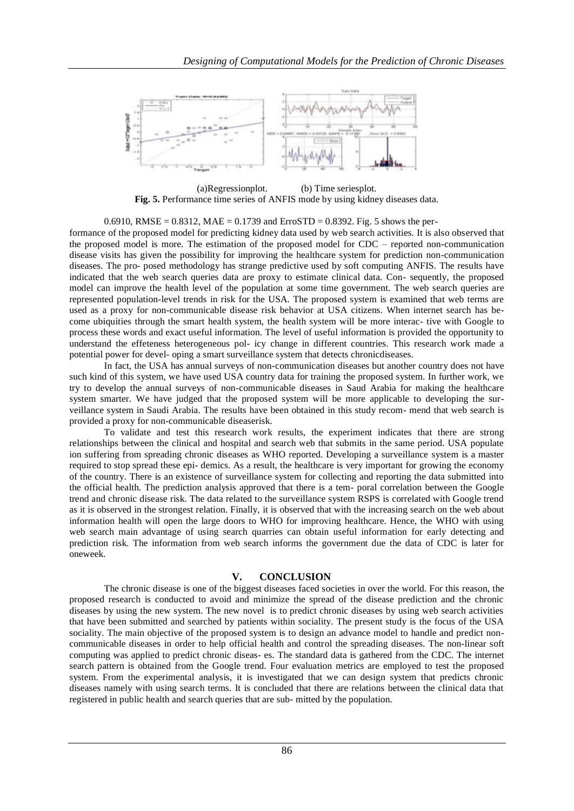

(a)Regressionplot. (b) Time seriesplot. **Fig. 5.** Performance time series of ANFIS mode by using kidney diseases data.

0.6910, RMSE = 0.8312, MAE = 0.1739 and ErroSTD = 0.8392. Fig. 5 shows the per-

formance of the proposed model for predicting kidney data used by web search activities. It is also observed that the proposed model is more. The estimation of the proposed model for CDC – reported non-communication disease visits has given the possibility for improving the healthcare system for prediction non-communication diseases. The pro- posed methodology has strange predictive used by soft computing ANFIS. The results have indicated that the web search queries data are proxy to estimate clinical data. Con- sequently, the proposed model can improve the health level of the population at some time government. The web search queries are represented population-level trends in risk for the USA. The proposed system is examined that web terms are used as a proxy for non-communicable disease risk behavior at USA citizens. When internet search has become ubiquities through the smart health system, the health system will be more interac- tive with Google to process these words and exact useful information. The level of useful information is provided the opportunity to understand the effeteness heterogeneous pol- icy change in different countries. This research work made a potential power for devel- oping a smart surveillance system that detects chronicdiseases.

In fact, the USA has annual surveys of non-communication diseases but another country does not have such kind of this system, we have used USA country data for training the proposed system. In further work, we try to develop the annual surveys of non-communicable diseases in Saud Arabia for making the healthcare system smarter. We have judged that the proposed system will be more applicable to developing the surveillance system in Saudi Arabia. The results have been obtained in this study recom- mend that web search is provided a proxy for non-communicable diseaserisk.

To validate and test this research work results, the experiment indicates that there are strong relationships between the clinical and hospital and search web that submits in the same period. USA populate ion suffering from spreading chronic diseases as WHO reported. Developing a surveillance system is a master required to stop spread these epi- demics. As a result, the healthcare is very important for growing the economy of the country. There is an existence of surveillance system for collecting and reporting the data submitted into the official health. The prediction analysis approved that there is a tem- poral correlation between the Google trend and chronic disease risk. The data related to the surveillance system RSPS is correlated with Google trend as it is observed in the strongest relation. Finally, it is observed that with the increasing search on the web about information health will open the large doors to WHO for improving healthcare. Hence, the WHO with using web search main advantage of using search quarries can obtain useful information for early detecting and prediction risk. The information from web search informs the government due the data of CDC is later for oneweek.

### **V. CONCLUSION**

The chronic disease is one of the biggest diseases faced societies in over the world. For this reason, the proposed research is conducted to avoid and minimize the spread of the disease prediction and the chronic diseases by using the new system. The new novel is to predict chronic diseases by using web search activities that have been submitted and searched by patients within sociality. The present study is the focus of the USA sociality. The main objective of the proposed system is to design an advance model to handle and predict noncommunicable diseases in order to help official health and control the spreading diseases. The non-linear soft computing was applied to predict chronic diseas- es. The standard data is gathered from the CDC. The internet search pattern is obtained from the Google trend. Four evaluation metrics are employed to test the proposed system. From the experimental analysis, it is investigated that we can design system that predicts chronic diseases namely with using search terms. It is concluded that there are relations between the clinical data that registered in public health and search queries that are sub- mitted by the population.